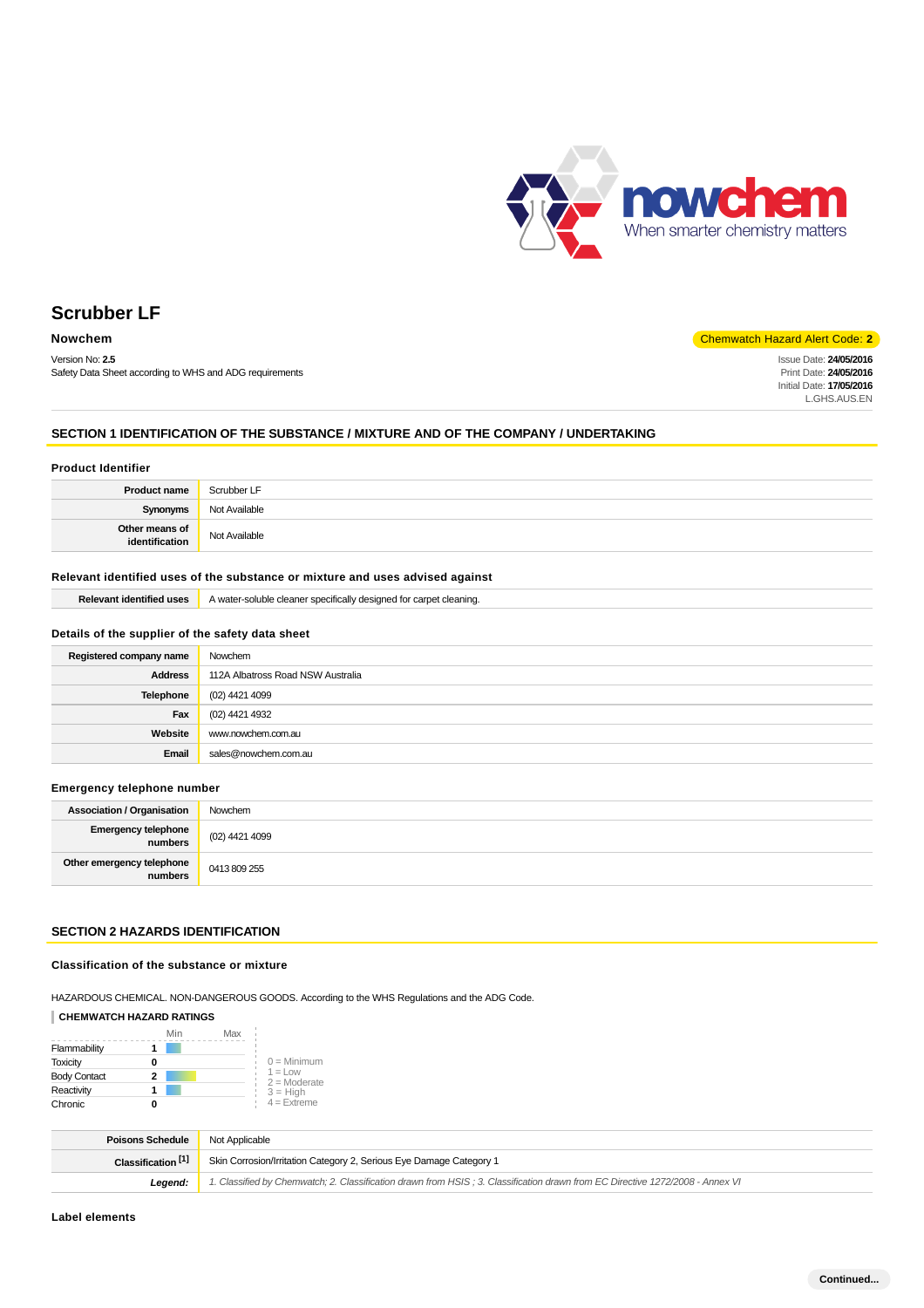

Version No: **2.5** Safety Data Sheet according to WHS and ADG requirements

# **Nowchem** Chemwatch Hazard Alert Code: **2**

Issue Date: **24/05/2016** Print Date: **24/05/2016** Initial Date: **17/05/2016** L.GHS.AUS.EN

# **SECTION 1 IDENTIFICATION OF THE SUBSTANCE / MIXTURE AND OF THE COMPANY / UNDERTAKING**

# **Product Identifier Product name** Scrubber LF **Synonyms** Not Available **Other means of identification** Not Available

# **Relevant identified uses of the substance or mixture and uses advised against**

| <b>Relevant identified uses</b>                  | A water-soluble cleaner specifically designed for carpet cleaning. |  |
|--------------------------------------------------|--------------------------------------------------------------------|--|
| Details of the supplier of the safety data sheet |                                                                    |  |
|                                                  |                                                                    |  |

| Registered company name | Nowchem                           |
|-------------------------|-----------------------------------|
| Address                 | 112A Albatross Road NSW Australia |
| Telephone               | (02) 4421 4099                    |
| Fax                     | (02) 4421 4932                    |
| Website                 | www.nowchem.com.au                |
| Email                   | sales@nowchem.com.au              |

#### **Emergency telephone number**

| <b>Association / Organisation</b>    | Nowchem        |
|--------------------------------------|----------------|
| Emergency telephone<br>A numbers     | (02) 4421 4099 |
| Other emergency telephone<br>numbers | 0413 809 255   |

# **SECTION 2 HAZARDS IDENTIFICATION**

# **Classification of the substance or mixture**

HAZARDOUS CHEMICAL. NON-DANGEROUS GOODS. According to the WHS Regulations and the ADG Code.

# **CHEMWATCH HAZARD RATINGS**

|                     | Min | Max |                                    |
|---------------------|-----|-----|------------------------------------|
| Flammability        |     |     |                                    |
| <b>Toxicity</b>     |     |     | $0 =$ Minimum                      |
| <b>Body Contact</b> |     |     | $1 = 1$ $\Omega$<br>$2 =$ Moderate |
| Reactivity          |     |     | $3 = High$                         |
| Chronic             |     |     | $4 =$ Extreme                      |

| <b>Poisons Schedule</b>       | Not Applicable                                                                                                                |
|-------------------------------|-------------------------------------------------------------------------------------------------------------------------------|
| Classification <sup>[1]</sup> | Skin Corrosion/Irritation Category 2, Serious Eye Damage Category 1                                                           |
| Leaend:                       | 1. Classified by Chemwatch; 2. Classification drawn from HSIS; 3. Classification drawn from EC Directive 1272/2008 - Annex VI |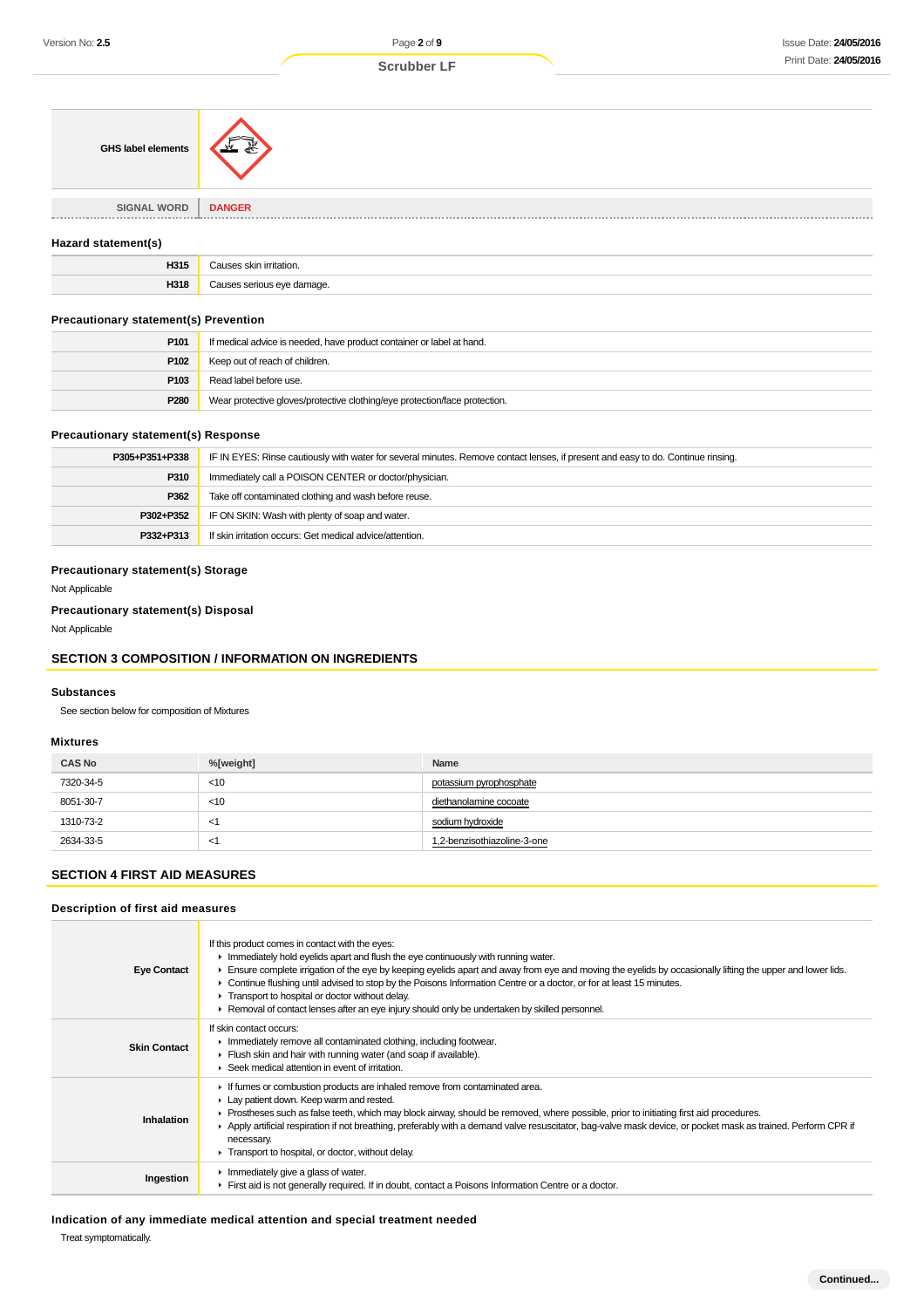| GHS label elements | ക്     |
|--------------------|--------|
| <b>SIGNAL WORD</b> | DANGER |
| -----------------  |        |

#### **Hazard statement(s)**

| LIGAL<br>כו כה<br>$\sim$ $\sim$ | чан. |
|---------------------------------|------|
| H318                            | .    |

# **Precautionary statement(s) Prevention**

| P <sub>101</sub> | If medical advice is needed, have product container or label at hand.      |
|------------------|----------------------------------------------------------------------------|
| P102             | Keep out of reach of children.                                             |
| P103             | Read label before use.                                                     |
| P280             | Wear protective gloves/protective clothing/eye protection/face protection. |

## **Precautionary statement(s) Response**

| P305+P351+P338 | IF IN EYES: Rinse cautiously with water for several minutes. Remove contact lenses, if present and easy to do. Continue rinsing. |  |
|----------------|----------------------------------------------------------------------------------------------------------------------------------|--|
| P310           | Immediately call a POISON CENTER or doctor/physician.                                                                            |  |
| P362           | Take off contaminated clothing and wash before reuse.                                                                            |  |
| P302+P352      | IF ON SKIN: Wash with plenty of soap and water.                                                                                  |  |
| P332+P313      | If skin irritation occurs: Get medical advice/attention.                                                                         |  |

## **Precautionary statement(s) Storage**

Not Applicable

## **Precautionary statement(s) Disposal**

Not Applicable

## **SECTION 3 COMPOSITION / INFORMATION ON INGREDIENTS**

#### **Substances**

See section below for composition of Mixtures

### **Mixtures**

| <b>CAS No</b> | %[weight] | Name                        |
|---------------|-----------|-----------------------------|
| 7320-34-5     | $<$ 10    | potassium pyrophosphate     |
| 8051-30-7     | $<$ 10    | diethanolamine cocoate      |
| 1310-73-2     | $\lt'$    | sodium hydroxide            |
| 2634-33-5     | $\lt'$    | 1,2-benzisothiazoline-3-one |

# **SECTION 4 FIRST AID MEASURES**

# **Description of first aid measures**

| <b>Eye Contact</b>  | If this product comes in contact with the eyes:<br>Inmediately hold eyelids apart and flush the eye continuously with running water.<br>Ensure complete irrigation of the eye by keeping eyelids apart and away from eye and moving the eyelids by occasionally lifting the upper and lower lids.<br>► Continue flushing until advised to stop by the Poisons Information Centre or a doctor, or for at least 15 minutes.<br>Transport to hospital or doctor without delay.<br>Removal of contact lenses after an eye injury should only be undertaken by skilled personnel. |
|---------------------|------------------------------------------------------------------------------------------------------------------------------------------------------------------------------------------------------------------------------------------------------------------------------------------------------------------------------------------------------------------------------------------------------------------------------------------------------------------------------------------------------------------------------------------------------------------------------|
| <b>Skin Contact</b> | If skin contact occurs:<br>In mediately remove all contaminated clothing, including footwear.<br>Flush skin and hair with running water (and soap if available).<br>Seek medical attention in event of irritation.                                                                                                                                                                                                                                                                                                                                                           |
| Inhalation          | If fumes or combustion products are inhaled remove from contaminated area.<br>Lay patient down. Keep warm and rested.<br>► Prostheses such as false teeth, which may block airway, should be removed, where possible, prior to initiating first aid procedures.<br>Apply artificial respiration if not breathing, preferably with a demand valve resuscitator, bag-valve mask device, or pocket mask as trained. Perform CPR if<br>necessary.<br>Transport to hospital, or doctor, without delay.                                                                            |
| Ingestion           | Inmediately give a glass of water.<br>First aid is not generally required. If in doubt, contact a Poisons Information Centre or a doctor.                                                                                                                                                                                                                                                                                                                                                                                                                                    |

## **Indication of any immediate medical attention and special treatment needed**

Treat symptomatically.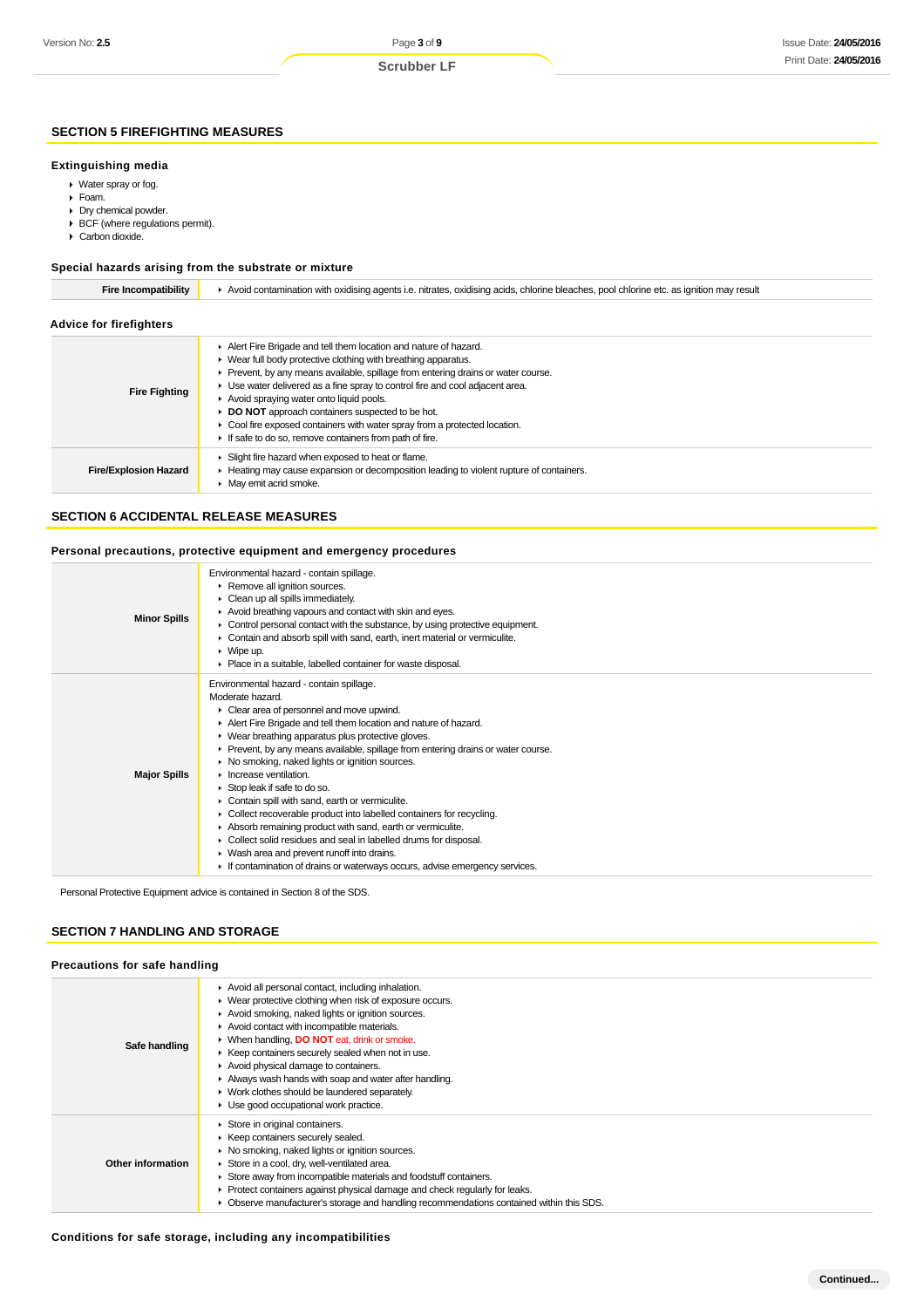# **SECTION 5 FIREFIGHTING MEASURES**

## **Extinguishing media**

- Water spray or fog.
- Foam.
- Dry chemical powder.
- BCF (where regulations permit).
- Carbon dioxide.

# **Special hazards arising from the substrate or mixture**

| <b>Fire Incompatibility</b>    | Avoid contamination with oxidising agents i.e. nitrates, oxidising acids, chlorine bleaches, pool chlorine etc. as ignition may result                                                                                                                                                                                                                                                                                                                                                                                                        |  |  |
|--------------------------------|-----------------------------------------------------------------------------------------------------------------------------------------------------------------------------------------------------------------------------------------------------------------------------------------------------------------------------------------------------------------------------------------------------------------------------------------------------------------------------------------------------------------------------------------------|--|--|
| <b>Advice for firefighters</b> |                                                                                                                                                                                                                                                                                                                                                                                                                                                                                                                                               |  |  |
| <b>Fire Fighting</b>           | Alert Fire Brigade and tell them location and nature of hazard.<br>▶ Wear full body protective clothing with breathing apparatus.<br>• Prevent, by any means available, spillage from entering drains or water course.<br>• Use water delivered as a fine spray to control fire and cool adjacent area.<br>Avoid spraying water onto liquid pools.<br>DO NOT approach containers suspected to be hot.<br>• Cool fire exposed containers with water spray from a protected location.<br>If safe to do so, remove containers from path of fire. |  |  |
| <b>Fire/Explosion Hazard</b>   | Slight fire hazard when exposed to heat or flame.<br>► Heating may cause expansion or decomposition leading to violent rupture of containers.<br>• May emit acrid smoke.                                                                                                                                                                                                                                                                                                                                                                      |  |  |

# **SECTION 6 ACCIDENTAL RELEASE MEASURES**

# **Personal precautions, protective equipment and emergency procedures**

| <b>Minor Spills</b> | Environmental hazard - contain spillage.<br>Remove all ignition sources.<br>Clean up all spills immediately.<br>Avoid breathing vapours and contact with skin and eyes.<br>Control personal contact with the substance, by using protective equipment.<br>• Contain and absorb spill with sand, earth, inert material or vermiculite.<br>$\triangleright$ Wipe up.<br>• Place in a suitable, labelled container for waste disposal.                                                                                                                                                                                                                                                                                                                                                                                                               |
|---------------------|---------------------------------------------------------------------------------------------------------------------------------------------------------------------------------------------------------------------------------------------------------------------------------------------------------------------------------------------------------------------------------------------------------------------------------------------------------------------------------------------------------------------------------------------------------------------------------------------------------------------------------------------------------------------------------------------------------------------------------------------------------------------------------------------------------------------------------------------------|
| <b>Major Spills</b> | Environmental hazard - contain spillage.<br>Moderate hazard.<br>Clear area of personnel and move upwind.<br>Alert Fire Brigade and tell them location and nature of hazard.<br>▶ Wear breathing apparatus plus protective gloves.<br>► Prevent, by any means available, spillage from entering drains or water course.<br>▶ No smoking, naked lights or ignition sources.<br>$\blacktriangleright$ Increase ventilation.<br>Stop leak if safe to do so.<br>Contain spill with sand, earth or vermiculite.<br>• Collect recoverable product into labelled containers for recycling.<br>Absorb remaining product with sand, earth or vermiculite.<br>• Collect solid residues and seal in labelled drums for disposal.<br>▶ Wash area and prevent runoff into drains.<br>If contamination of drains or waterways occurs, advise emergency services. |

Personal Protective Equipment advice is contained in Section 8 of the SDS.

### **SECTION 7 HANDLING AND STORAGE**

#### **Precautions for safe handling**

| Safe handling     | Avoid all personal contact, including inhalation.<br>▶ Wear protective clothing when risk of exposure occurs.<br>Avoid smoking, naked lights or ignition sources.<br>Avoid contact with incompatible materials.<br>▶ When handling, <b>DO NOT</b> eat, drink or smoke.<br>▶ Keep containers securely sealed when not in use.<br>Avoid physical damage to containers.<br>Always wash hands with soap and water after handling.<br>▶ Work clothes should be laundered separately.<br>• Use good occupational work practice. |
|-------------------|---------------------------------------------------------------------------------------------------------------------------------------------------------------------------------------------------------------------------------------------------------------------------------------------------------------------------------------------------------------------------------------------------------------------------------------------------------------------------------------------------------------------------|
| Other information | Store in original containers.<br>▶ Keep containers securely sealed.<br>▶ No smoking, naked lights or ignition sources.<br>Store in a cool, dry, well-ventilated area.<br>Store away from incompatible materials and foodstuff containers.<br>• Protect containers against physical damage and check regularly for leaks.<br>• Observe manufacturer's storage and handling recommendations contained within this SDS.                                                                                                      |

#### **Conditions for safe storage, including any incompatibilities**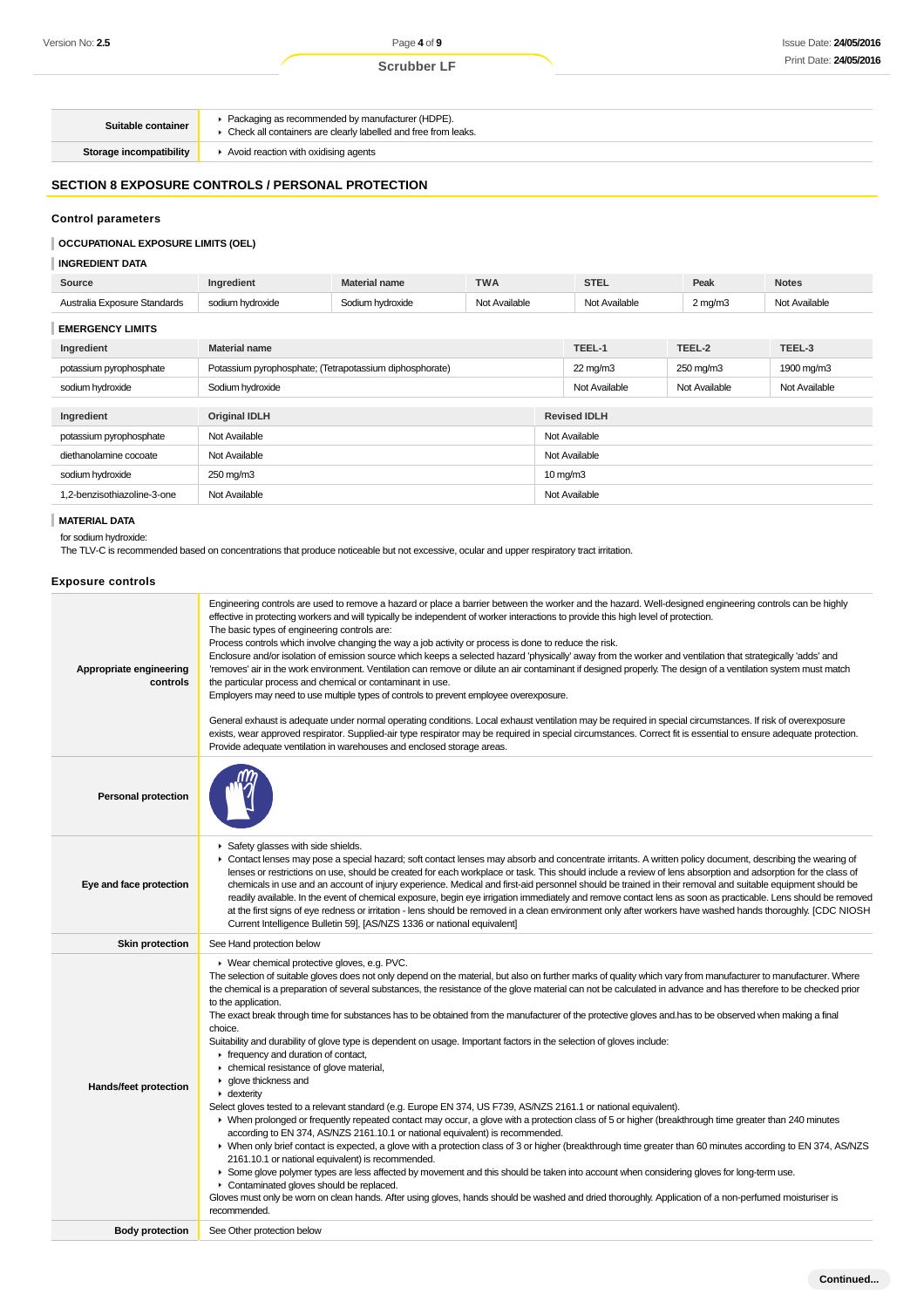| Suitable container      | ▶ Packaging as recommended by manufacturer (HDPE).<br>• Check all containers are clearly labelled and free from leaks. |
|-------------------------|------------------------------------------------------------------------------------------------------------------------|
| Storage incompatibility | Avoid reaction with oxidising agents                                                                                   |

# **SECTION 8 EXPOSURE CONTROLS / PERSONAL PROTECTION**

## **Control parameters**

# **OCCUPATIONAL EXPOSURE LIMITS (OEL)**

**INGREDIENT DATA**

| Source                       | Ingredient                                              | <b>Material name</b> | <b>TWA</b>    |                   | <b>STEL</b>         | Peak          | <b>Notes</b>  |
|------------------------------|---------------------------------------------------------|----------------------|---------------|-------------------|---------------------|---------------|---------------|
| Australia Exposure Standards | sodium hydroxide                                        | Sodium hydroxide     | Not Available |                   | Not Available       | $2$ mg/m $3$  | Not Available |
| <b>EMERGENCY LIMITS</b>      |                                                         |                      |               |                   |                     |               |               |
| Ingredient                   | <b>Material name</b>                                    |                      |               |                   | TEEL-1              | TEEL-2        | TEEL-3        |
| potassium pyrophosphate      | Potassium pyrophosphate; (Tetrapotassium diphosphorate) |                      |               |                   | $22 \text{ mg/m}$   | 250 mg/m3     | 1900 mg/m3    |
| sodium hydroxide             | Sodium hydroxide                                        |                      |               | Not Available     | Not Available       | Not Available |               |
|                              |                                                         |                      |               |                   |                     |               |               |
| Ingredient                   | <b>Original IDLH</b>                                    |                      |               |                   | <b>Revised IDLH</b> |               |               |
| potassium pyrophosphate      | Not Available                                           |                      |               | Not Available     |                     |               |               |
| diethanolamine cocoate       | Not Available                                           |                      |               | Not Available     |                     |               |               |
| sodium hydroxide             | 250 mg/m3                                               |                      |               | $10 \text{ mg/m}$ |                     |               |               |
| 1,2-benzisothiazoline-3-one  | Not Available                                           |                      |               |                   | Not Available       |               |               |
|                              |                                                         |                      |               |                   |                     |               |               |

# **MATERIAL DATA**

# for sodium hydroxide:

The TLV-C is recommended based on concentrations that produce noticeable but not excessive, ocular and upper respiratory tract irritation.

| <b>Exposure controls</b> |  |
|--------------------------|--|
|--------------------------|--|

| Appropriate engineering<br>controls | Engineering controls are used to remove a hazard or place a barrier between the worker and the hazard. Well-designed engineering controls can be highly<br>effective in protecting workers and will typically be independent of worker interactions to provide this high level of protection.<br>The basic types of engineering controls are:<br>Process controls which involve changing the way a job activity or process is done to reduce the risk.<br>Enclosure and/or isolation of emission source which keeps a selected hazard 'physically' away from the worker and ventilation that strategically 'adds' and<br>'removes' air in the work environment. Ventilation can remove or dilute an air contaminant if designed properly. The design of a ventilation system must match<br>the particular process and chemical or contaminant in use.<br>Employers may need to use multiple types of controls to prevent employee overexposure.<br>General exhaust is adequate under normal operating conditions. Local exhaust ventilation may be required in special circumstances. If risk of overexposure<br>exists, wear approved respirator. Supplied-air type respirator may be required in special circumstances. Correct fit is essential to ensure adequate protection.<br>Provide adequate ventilation in warehouses and enclosed storage areas.                                                                                                                                                                                                                                                                                                                                                                                                                                                  |
|-------------------------------------|--------------------------------------------------------------------------------------------------------------------------------------------------------------------------------------------------------------------------------------------------------------------------------------------------------------------------------------------------------------------------------------------------------------------------------------------------------------------------------------------------------------------------------------------------------------------------------------------------------------------------------------------------------------------------------------------------------------------------------------------------------------------------------------------------------------------------------------------------------------------------------------------------------------------------------------------------------------------------------------------------------------------------------------------------------------------------------------------------------------------------------------------------------------------------------------------------------------------------------------------------------------------------------------------------------------------------------------------------------------------------------------------------------------------------------------------------------------------------------------------------------------------------------------------------------------------------------------------------------------------------------------------------------------------------------------------------------------------------------------------------------------------------------------------------------------|
| <b>Personal protection</b>          |                                                                                                                                                                                                                                                                                                                                                                                                                                                                                                                                                                                                                                                                                                                                                                                                                                                                                                                                                                                                                                                                                                                                                                                                                                                                                                                                                                                                                                                                                                                                                                                                                                                                                                                                                                                                              |
| Eye and face protection             | Safety glasses with side shields.<br>► Contact lenses may pose a special hazard; soft contact lenses may absorb and concentrate irritants. A written policy document, describing the wearing of<br>lenses or restrictions on use, should be created for each workplace or task. This should include a review of lens absorption and adsorption for the class of<br>chemicals in use and an account of injury experience. Medical and first-aid personnel should be trained in their removal and suitable equipment should be<br>readily available. In the event of chemical exposure, begin eye irrigation immediately and remove contact lens as soon as practicable. Lens should be removed<br>at the first signs of eye redness or irritation - lens should be removed in a clean environment only after workers have washed hands thoroughly. [CDC NIOSH<br>Current Intelligence Bulletin 59], [AS/NZS 1336 or national equivalent]                                                                                                                                                                                                                                                                                                                                                                                                                                                                                                                                                                                                                                                                                                                                                                                                                                                                      |
| <b>Skin protection</b>              | See Hand protection below                                                                                                                                                                                                                                                                                                                                                                                                                                                                                                                                                                                                                                                                                                                                                                                                                                                                                                                                                                                                                                                                                                                                                                                                                                                                                                                                                                                                                                                                                                                                                                                                                                                                                                                                                                                    |
| Hands/feet protection               | ▶ Wear chemical protective gloves, e.g. PVC.<br>The selection of suitable gloves does not only depend on the material, but also on further marks of quality which vary from manufacturer to manufacturer. Where<br>the chemical is a preparation of several substances, the resistance of the glove material can not be calculated in advance and has therefore to be checked prior<br>to the application.<br>The exact break through time for substances has to be obtained from the manufacturer of the protective gloves and has to be observed when making a final<br>choice.<br>Suitability and durability of glove type is dependent on usage. Important factors in the selection of gloves include:<br>Firequency and duration of contact,<br>• chemical resistance of glove material,<br>▶ glove thickness and<br>$\blacktriangleright$ dexterity<br>Select gloves tested to a relevant standard (e.g. Europe EN 374, US F739, AS/NZS 2161.1 or national equivalent).<br>▶ When prolonged or frequently repeated contact may occur, a glove with a protection class of 5 or higher (breakthrough time greater than 240 minutes<br>according to EN 374, AS/NZS 2161.10.1 or national equivalent) is recommended.<br>► When only brief contact is expected, a glove with a protection class of 3 or higher (breakthrough time greater than 60 minutes according to EN 374, AS/NZS<br>2161.10.1 or national equivalent) is recommended.<br>Some glove polymer types are less affected by movement and this should be taken into account when considering gloves for long-term use.<br>Contaminated gloves should be replaced.<br>Gloves must only be worn on clean hands. After using gloves, hands should be washed and dried thoroughly. Application of a non-perfumed moisturiser is<br>recommended. |
| <b>Body protection</b>              | See Other protection below                                                                                                                                                                                                                                                                                                                                                                                                                                                                                                                                                                                                                                                                                                                                                                                                                                                                                                                                                                                                                                                                                                                                                                                                                                                                                                                                                                                                                                                                                                                                                                                                                                                                                                                                                                                   |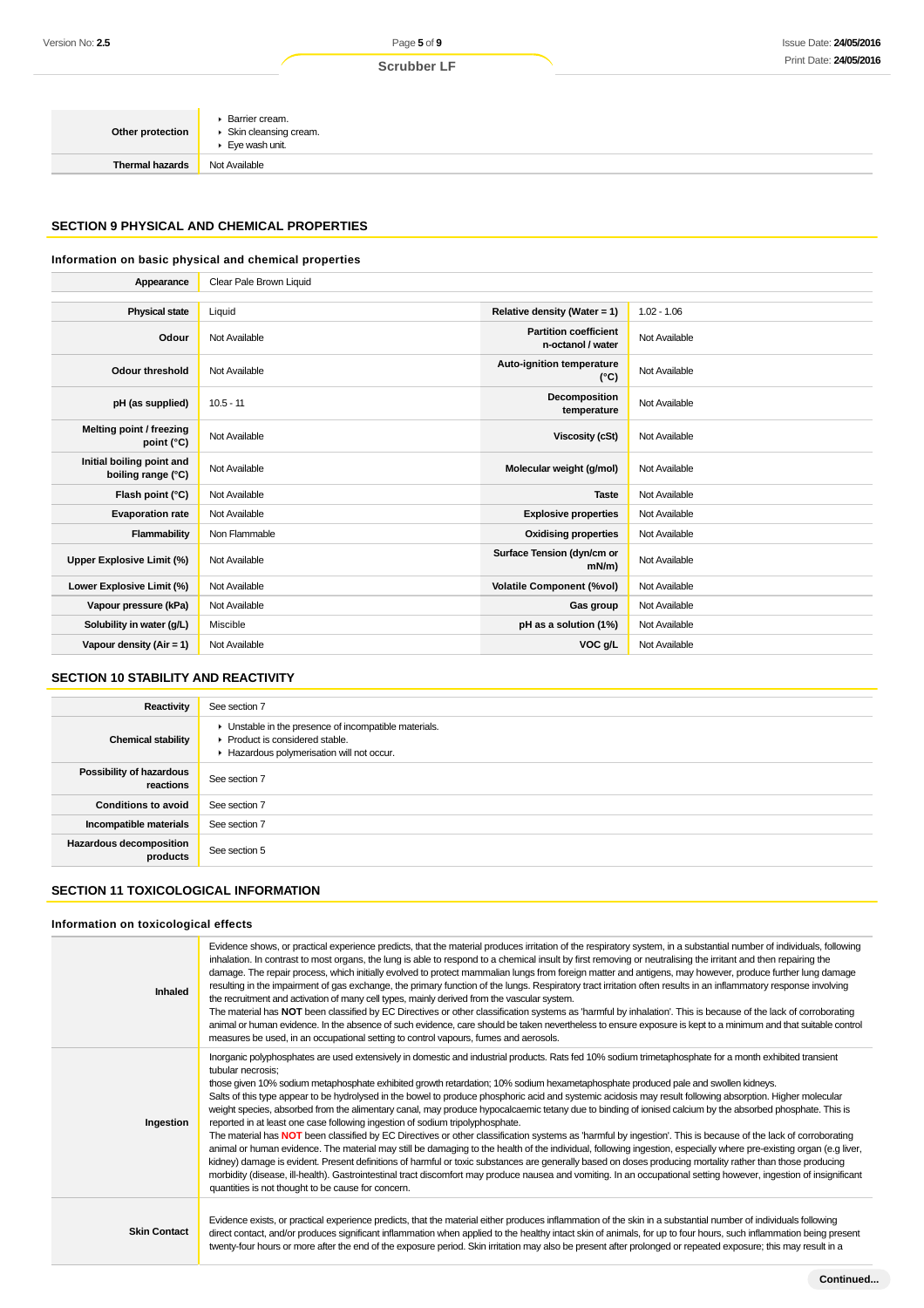| Other protection       | Barrier cream.<br>► Skin cleansing cream.<br>► Eye wash unit. |
|------------------------|---------------------------------------------------------------|
| <b>Thermal hazards</b> | Not Available                                                 |

## **SECTION 9 PHYSICAL AND CHEMICAL PROPERTIES**

#### **Information on basic physical and chemical properties**

| Appearance                                      | Clear Pale Brown Liquid |                                                   |               |
|-------------------------------------------------|-------------------------|---------------------------------------------------|---------------|
|                                                 |                         |                                                   |               |
| <b>Physical state</b>                           | Liquid                  | Relative density (Water = 1)                      | $1.02 - 1.06$ |
| Odour                                           | Not Available           | <b>Partition coefficient</b><br>n-octanol / water | Not Available |
| Odour threshold                                 | Not Available           | Auto-ignition temperature<br>$(^{\circ}C)$        | Not Available |
| pH (as supplied)                                | $10.5 - 11$             | Decomposition<br>temperature                      | Not Available |
| Melting point / freezing<br>point $(^{\circ}C)$ | Not Available           | <b>Viscosity (cSt)</b>                            | Not Available |
| Initial boiling point and<br>boiling range (°C) | Not Available           | Molecular weight (g/mol)                          | Not Available |
| Flash point (°C)                                | Not Available           | <b>Taste</b>                                      | Not Available |
| <b>Evaporation rate</b>                         | Not Available           | <b>Explosive properties</b>                       | Not Available |
| Flammability                                    | Non Flammable           | <b>Oxidising properties</b>                       | Not Available |
| <b>Upper Explosive Limit (%)</b>                | Not Available           | Surface Tension (dyn/cm or<br>$mN/m$ )            | Not Available |
| Lower Explosive Limit (%)                       | Not Available           | <b>Volatile Component (%vol)</b>                  | Not Available |
| Vapour pressure (kPa)                           | Not Available           | Gas group                                         | Not Available |
| Solubility in water (g/L)                       | Miscible                | pH as a solution (1%)                             | Not Available |
| Vapour density $(Air = 1)$                      | Not Available           | VOC g/L                                           | Not Available |

# **SECTION 10 STABILITY AND REACTIVITY**

| Reactivity                            | See section 7                                                                                                                      |
|---------------------------------------|------------------------------------------------------------------------------------------------------------------------------------|
| <b>Chemical stability</b>             | Unstable in the presence of incompatible materials.<br>▶ Product is considered stable.<br>Hazardous polymerisation will not occur. |
| Possibility of hazardous<br>reactions | See section 7                                                                                                                      |
| <b>Conditions to avoid</b>            | See section 7                                                                                                                      |
| Incompatible materials                | See section 7                                                                                                                      |
| Hazardous decomposition<br>products   | See section 5                                                                                                                      |

# **SECTION 11 TOXICOLOGICAL INFORMATION**

# **Information on toxicological effects**

| Inhaled             | Evidence shows, or practical experience predicts, that the material produces irritation of the respiratory system, in a substantial number of individuals, following<br>inhalation. In contrast to most organs, the lung is able to respond to a chemical insult by first removing or neutralising the irritant and then repairing the<br>damage. The repair process, which initially evolved to protect mammalian lungs from foreign matter and antigens, may however, produce further lung damage<br>resulting in the impairment of gas exchange, the primary function of the lungs. Respiratory tract irritation often results in an inflammatory response involving<br>the recruitment and activation of many cell types, mainly derived from the vascular system.<br>The material has NOT been classified by EC Directives or other classification systems as 'harmful by inhalation'. This is because of the lack of corroborating<br>animal or human evidence. In the absence of such evidence, care should be taken nevertheless to ensure exposure is kept to a minimum and that suitable control<br>measures be used, in an occupational setting to control vapours, fumes and aerosols.                                                                                                                                                                                                                                                              |
|---------------------|-----------------------------------------------------------------------------------------------------------------------------------------------------------------------------------------------------------------------------------------------------------------------------------------------------------------------------------------------------------------------------------------------------------------------------------------------------------------------------------------------------------------------------------------------------------------------------------------------------------------------------------------------------------------------------------------------------------------------------------------------------------------------------------------------------------------------------------------------------------------------------------------------------------------------------------------------------------------------------------------------------------------------------------------------------------------------------------------------------------------------------------------------------------------------------------------------------------------------------------------------------------------------------------------------------------------------------------------------------------------------------------------------------------------------------------------------------------------|
| Ingestion           | Inorganic polyphosphates are used extensively in domestic and industrial products. Rats fed 10% sodium trimetaphosphate for a month exhibited transient<br>tubular necrosis;<br>those given 10% sodium metaphosphate exhibited growth retardation; 10% sodium hexametaphosphate produced pale and swollen kidneys.<br>Salts of this type appear to be hydrolysed in the bowel to produce phosphoric acid and systemic acidosis may result following absorption. Higher molecular<br>weight species, absorbed from the alimentary canal, may produce hypocalcaemic tetany due to binding of ionised calcium by the absorbed phosphate. This is<br>reported in at least one case following ingestion of sodium tripolyphosphate.<br>The material has NOT been classified by EC Directives or other classification systems as 'harmful by ingestion'. This is because of the lack of corroborating<br>animal or human evidence. The material may still be damaging to the health of the individual, following ingestion, especially where pre-existing organ (e.g liver,<br>kidney) damage is evident. Present definitions of harmful or toxic substances are generally based on doses producing mortality rather than those producing<br>morbidity (disease, ill-health). Gastrointestinal tract discomfort may produce nausea and vomiting. In an occupational setting however, ingestion of insignificant<br>quantities is not thought to be cause for concern. |
| <b>Skin Contact</b> | Evidence exists, or practical experience predicts, that the material either produces inflammation of the skin in a substantial number of individuals following<br>direct contact, and/or produces significant inflammation when applied to the healthy intact skin of animals, for up to four hours, such inflammation being present<br>twenty-four hours or more after the end of the exposure period. Skin irritation may also be present after prolonged or repeated exposure; this may result in a                                                                                                                                                                                                                                                                                                                                                                                                                                                                                                                                                                                                                                                                                                                                                                                                                                                                                                                                                          |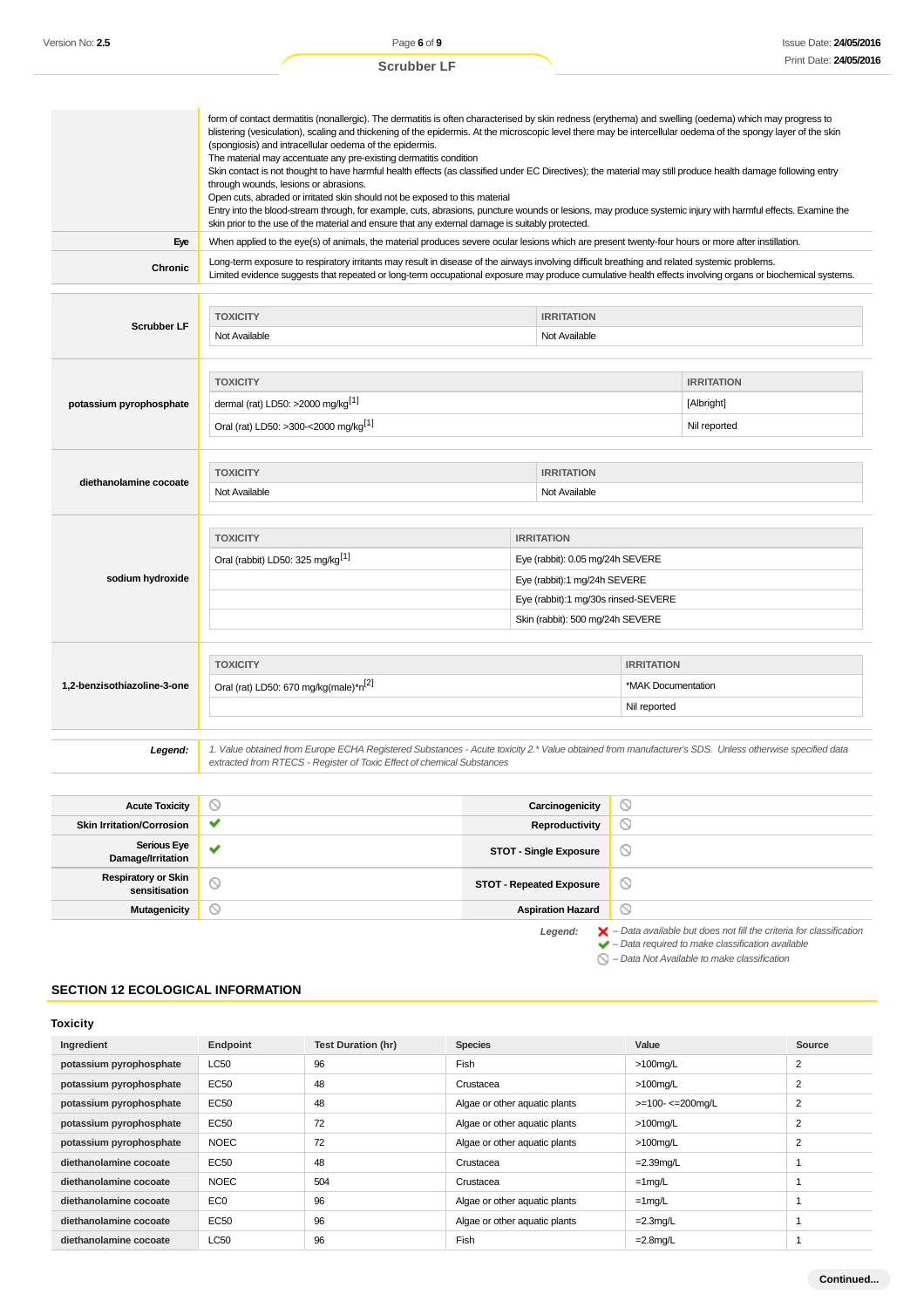|                                    | form of contact dermatitis (nonallergic). The dermatitis is often characterised by skin redness (erythema) and swelling (oedema) which may progress to<br>blistering (vesiculation), scaling and thickening of the epidermis. At the microscopic level there may be intercellular oedema of the spongy layer of the skin<br>(spongiosis) and intracellular oedema of the epidermis.<br>The material may accentuate any pre-existing dermatitis condition<br>Skin contact is not thought to have harmful health effects (as classified under EC Directives); the material may still produce health damage following entry<br>through wounds, lesions or abrasions.<br>Open cuts, abraded or irritated skin should not be exposed to this material<br>Entry into the blood-stream through, for example, cuts, abrasions, puncture wounds or lesions, may produce systemic injury with harmful effects. Examine the<br>skin prior to the use of the material and ensure that any external damage is suitably protected. |                                     |                    |                    |  |
|------------------------------------|----------------------------------------------------------------------------------------------------------------------------------------------------------------------------------------------------------------------------------------------------------------------------------------------------------------------------------------------------------------------------------------------------------------------------------------------------------------------------------------------------------------------------------------------------------------------------------------------------------------------------------------------------------------------------------------------------------------------------------------------------------------------------------------------------------------------------------------------------------------------------------------------------------------------------------------------------------------------------------------------------------------------|-------------------------------------|--------------------|--------------------|--|
| Eye                                | When applied to the eye(s) of animals, the material produces severe ocular lesions which are present twenty-four hours or more after instillation.                                                                                                                                                                                                                                                                                                                                                                                                                                                                                                                                                                                                                                                                                                                                                                                                                                                                   |                                     |                    |                    |  |
| Chronic                            | Long-term exposure to respiratory irritants may result in disease of the airways involving difficult breathing and related systemic problems.<br>Limited evidence suggests that repeated or long-term occupational exposure may produce cumulative health effects involving organs or biochemical systems.                                                                                                                                                                                                                                                                                                                                                                                                                                                                                                                                                                                                                                                                                                           |                                     |                    |                    |  |
|                                    |                                                                                                                                                                                                                                                                                                                                                                                                                                                                                                                                                                                                                                                                                                                                                                                                                                                                                                                                                                                                                      |                                     |                    |                    |  |
| <b>Scrubber LF</b>                 | <b>TOXICITY</b>                                                                                                                                                                                                                                                                                                                                                                                                                                                                                                                                                                                                                                                                                                                                                                                                                                                                                                                                                                                                      | <b>IRRITATION</b>                   |                    |                    |  |
|                                    | Not Available                                                                                                                                                                                                                                                                                                                                                                                                                                                                                                                                                                                                                                                                                                                                                                                                                                                                                                                                                                                                        | Not Available                       |                    |                    |  |
|                                    |                                                                                                                                                                                                                                                                                                                                                                                                                                                                                                                                                                                                                                                                                                                                                                                                                                                                                                                                                                                                                      |                                     |                    |                    |  |
|                                    | <b>TOXICITY</b>                                                                                                                                                                                                                                                                                                                                                                                                                                                                                                                                                                                                                                                                                                                                                                                                                                                                                                                                                                                                      |                                     |                    | <b>IRRITATION</b>  |  |
| potassium pyrophosphate            | dermal (rat) LD50: >2000 mg/kg <sup>[1]</sup>                                                                                                                                                                                                                                                                                                                                                                                                                                                                                                                                                                                                                                                                                                                                                                                                                                                                                                                                                                        |                                     |                    | [Albright]         |  |
|                                    | Oral (rat) LD50: >300-<2000 mg/kg <sup>[1]</sup>                                                                                                                                                                                                                                                                                                                                                                                                                                                                                                                                                                                                                                                                                                                                                                                                                                                                                                                                                                     |                                     |                    | Nil reported       |  |
|                                    |                                                                                                                                                                                                                                                                                                                                                                                                                                                                                                                                                                                                                                                                                                                                                                                                                                                                                                                                                                                                                      |                                     |                    |                    |  |
|                                    | <b>TOXICITY</b><br><b>IRRITATION</b>                                                                                                                                                                                                                                                                                                                                                                                                                                                                                                                                                                                                                                                                                                                                                                                                                                                                                                                                                                                 |                                     |                    |                    |  |
| diethanolamine cocoate             | Not Available<br>Not Available                                                                                                                                                                                                                                                                                                                                                                                                                                                                                                                                                                                                                                                                                                                                                                                                                                                                                                                                                                                       |                                     |                    |                    |  |
|                                    |                                                                                                                                                                                                                                                                                                                                                                                                                                                                                                                                                                                                                                                                                                                                                                                                                                                                                                                                                                                                                      |                                     |                    |                    |  |
|                                    | <b>TOXICITY</b>                                                                                                                                                                                                                                                                                                                                                                                                                                                                                                                                                                                                                                                                                                                                                                                                                                                                                                                                                                                                      | <b>IRRITATION</b>                   |                    |                    |  |
|                                    | Oral (rabbit) LD50: 325 mg/kg <sup>[1]</sup>                                                                                                                                                                                                                                                                                                                                                                                                                                                                                                                                                                                                                                                                                                                                                                                                                                                                                                                                                                         | Eye (rabbit): 0.05 mg/24h SEVERE    |                    |                    |  |
| sodium hydroxide                   |                                                                                                                                                                                                                                                                                                                                                                                                                                                                                                                                                                                                                                                                                                                                                                                                                                                                                                                                                                                                                      | Eye (rabbit):1 mg/24h SEVERE        |                    |                    |  |
|                                    |                                                                                                                                                                                                                                                                                                                                                                                                                                                                                                                                                                                                                                                                                                                                                                                                                                                                                                                                                                                                                      | Eye (rabbit):1 mg/30s rinsed-SEVERE |                    |                    |  |
|                                    |                                                                                                                                                                                                                                                                                                                                                                                                                                                                                                                                                                                                                                                                                                                                                                                                                                                                                                                                                                                                                      | Skin (rabbit): 500 mg/24h SEVERE    |                    |                    |  |
|                                    |                                                                                                                                                                                                                                                                                                                                                                                                                                                                                                                                                                                                                                                                                                                                                                                                                                                                                                                                                                                                                      |                                     |                    |                    |  |
|                                    | <b>TOXICITY</b>                                                                                                                                                                                                                                                                                                                                                                                                                                                                                                                                                                                                                                                                                                                                                                                                                                                                                                                                                                                                      |                                     |                    | <b>IRRITATION</b>  |  |
| 1,2-benzisothiazoline-3-one        | Oral (rat) LD50: 670 mg/kg(male)*n <sup>[2]</sup>                                                                                                                                                                                                                                                                                                                                                                                                                                                                                                                                                                                                                                                                                                                                                                                                                                                                                                                                                                    |                                     |                    | *MAK Documentation |  |
|                                    | Nil reported                                                                                                                                                                                                                                                                                                                                                                                                                                                                                                                                                                                                                                                                                                                                                                                                                                                                                                                                                                                                         |                                     |                    |                    |  |
|                                    |                                                                                                                                                                                                                                                                                                                                                                                                                                                                                                                                                                                                                                                                                                                                                                                                                                                                                                                                                                                                                      |                                     |                    |                    |  |
| Legend:                            | 1. Value obtained from Europe ECHA Registered Substances - Acute toxicity 2.* Value obtained from manufacturer's SDS. Unless otherwise specified data<br>extracted from RTECS - Register of Toxic Effect of chemical Substances                                                                                                                                                                                                                                                                                                                                                                                                                                                                                                                                                                                                                                                                                                                                                                                      |                                     |                    |                    |  |
|                                    |                                                                                                                                                                                                                                                                                                                                                                                                                                                                                                                                                                                                                                                                                                                                                                                                                                                                                                                                                                                                                      |                                     |                    |                    |  |
| <b>Acute Toxicity</b>              | ∾                                                                                                                                                                                                                                                                                                                                                                                                                                                                                                                                                                                                                                                                                                                                                                                                                                                                                                                                                                                                                    | Carcinogenicity                     | $\circ$            |                    |  |
| Older Institution IO concentration |                                                                                                                                                                                                                                                                                                                                                                                                                                                                                                                                                                                                                                                                                                                                                                                                                                                                                                                                                                                                                      | Demonderation of                    | $\curvearrowright$ |                    |  |

| <b>Acute Toxicity</b>                       | Y            | Carcinogenicity                 | ∾                                                                                                                                                                  |
|---------------------------------------------|--------------|---------------------------------|--------------------------------------------------------------------------------------------------------------------------------------------------------------------|
| <b>Skin Irritation/Corrosion</b>            | $\checkmark$ | Reproductivity                  | Ø                                                                                                                                                                  |
| <b>Serious Eye</b><br>Damage/Irritation     | $\checkmark$ | <b>STOT - Single Exposure</b>   | $\circ$                                                                                                                                                            |
| <b>Respiratory or Skin</b><br>sensitisation | $\circ$      | <b>STOT - Repeated Exposure</b> | $\circ$                                                                                                                                                            |
| Mutagenicity                                | Y            | <b>Aspiration Hazard</b>        | $\circ$                                                                                                                                                            |
|                                             |              | Legend:                         | $\blacktriangleright$ - Data available but does not fill the criteria for classification<br>$\blacktriangleright$ - Data required to make classification available |

– Data Not Available to make classification

# **SECTION 12 ECOLOGICAL INFORMATION**

## **Toxicity**

| Ingredient              | Endpoint        | <b>Test Duration (hr)</b> | <b>Species</b>                | Value             | Source         |
|-------------------------|-----------------|---------------------------|-------------------------------|-------------------|----------------|
| potassium pyrophosphate | <b>LC50</b>     | 96                        | Fish                          | $>100$ mg/L       | $\overline{2}$ |
| potassium pyrophosphate | EC50            | 48                        | Crustacea                     | $>100$ mg/L       | 2              |
| potassium pyrophosphate | EC50            | 48                        | Algae or other aquatic plants | >=100- <= 200mg/L | 2              |
| potassium pyrophosphate | EC50            | 72                        | Algae or other aquatic plants | $>100$ mg/L       | $\overline{2}$ |
| potassium pyrophosphate | <b>NOEC</b>     | 72                        | Algae or other aquatic plants | $>100$ mg/L       | 2              |
| diethanolamine cocoate  | EC50            | 48                        | Crustacea                     | $=2.39$ mg/L      |                |
| diethanolamine cocoate  | <b>NOEC</b>     | 504                       | Crustacea                     | $=1$ mg/L         |                |
| diethanolamine cocoate  | EC <sub>0</sub> | 96                        | Algae or other aquatic plants | $=1$ mg/L         |                |
| diethanolamine cocoate  | EC50            | 96                        | Algae or other aquatic plants | $=2.3$ mg/L       |                |
| diethanolamine cocoate  | <b>LC50</b>     | 96                        | Fish                          | $=2.8$ mg/L       |                |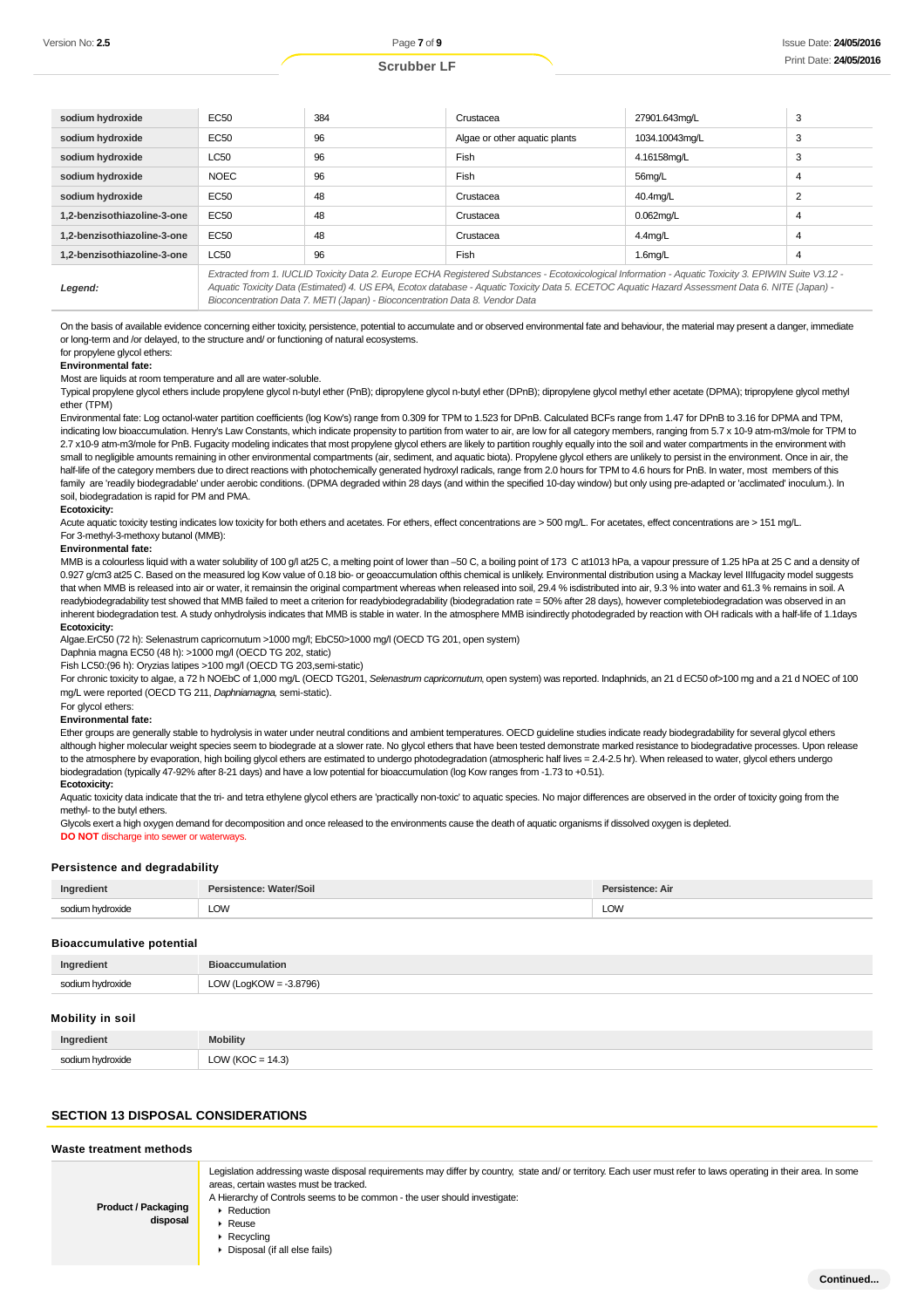| sodium hydroxide            | EC50        | 384                                                                          | Crustacea                                                                                                                                                                                                                                                                                                | 27901.643mg/L  | 3 |
|-----------------------------|-------------|------------------------------------------------------------------------------|----------------------------------------------------------------------------------------------------------------------------------------------------------------------------------------------------------------------------------------------------------------------------------------------------------|----------------|---|
| sodium hydroxide            | EC50        | 96                                                                           | Algae or other aquatic plants                                                                                                                                                                                                                                                                            | 1034.10043mg/L | 3 |
| sodium hydroxide            | <b>LC50</b> | 96                                                                           | Fish                                                                                                                                                                                                                                                                                                     | 4.16158mg/L    | 3 |
| sodium hydroxide            | <b>NOEC</b> | 96                                                                           | Fish                                                                                                                                                                                                                                                                                                     | 56mg/L         | 4 |
| sodium hydroxide            | EC50        | 48                                                                           | Crustacea                                                                                                                                                                                                                                                                                                | 40.4mg/L       |   |
| 1.2-benzisothiazoline-3-one | EC50        | 48                                                                           | Crustacea                                                                                                                                                                                                                                                                                                | $0.062$ mg/L   |   |
| 1.2-benzisothiazoline-3-one | EC50        | 48                                                                           | Crustacea                                                                                                                                                                                                                                                                                                | $4.4$ mg/L     | 4 |
| 1.2-benzisothiazoline-3-one | <b>LC50</b> | 96                                                                           | Fish                                                                                                                                                                                                                                                                                                     | $1.6$ mg/L     | 4 |
| Legend:                     |             | Bioconcentration Data 7. METI (Japan) - Bioconcentration Data 8. Vendor Data | Extracted from 1. IUCLID Toxicity Data 2. Europe ECHA Registered Substances - Ecotoxicological Information - Aquatic Toxicity 3. EPIWIN Suite V3.12 -<br>Aquatic Toxicity Data (Estimated) 4. US EPA, Ecotox database - Aquatic Toxicity Data 5. ECETOC Aquatic Hazard Assessment Data 6. NITE (Japan) - |                |   |

On the basis of available evidence concerning either toxicity, persistence, potential to accumulate and or observed environmental fate and behaviour, the material may present a danger, immediate or long-term and /or delayed, to the structure and/ or functioning of natural ecosystems. for propylene glycol ethers:

# **Environmental fate:**

Most are liquids at room temperature and all are water-soluble.

Typical propylene glycol ethers include propylene glycol n-butyl ether (PnB); dipropylene glycol n-butyl ether (DPnB); dipropylene glycol methyl ether acetate (DPMA); tripropylene glycol methyl ether (TPM)

Environmental fate: Log octanol-water partition coefficients (log Kow's) range from 0.309 for TPM to 1.523 for DPnB. Calculated BCFs range from 1.47 for DPnB to 3.16 for DPMA and TPM, indicating low bioaccumulation. Henry's Law Constants, which indicate propensity to partition from water to air, are low for all category members, ranging from 5.7 x 10-9 atm-m3/mole for TPM to 2.7 x10-9 atm-m3/mole for PnB. Fugacity modeling indicates that most propylene glycol ethers are likely to partition roughly equally into the soil and water compartments in the environment with small to negligible amounts remaining in other environmental compartments (air, sediment, and aquatic biota). Propylene glycol ethers are unlikely to persist in the environment. Once in air, the half-life of the category members due to direct reactions with photochemically generated hydroxyl radicals, range from 2.0 hours for TPM to 4.6 hours for PnB. In water, most members of this family are 'readily biodegradable' under aerobic conditions. (DPMA degraded within 28 days (and within the specified 10-day window) but only using pre-adapted or 'acclimated' inoculum.). In soil, biodegradation is rapid for PM and PMA.

#### **Ecotoxicity:**

Acute aquatic toxicity testing indicates low toxicity for both ethers and acetates. For ethers, effect concentrations are > 500 mg/L. For acetates, effect concentrations are > 151 mg/L. For 3-methyl-3-methoxy butanol (MMB):

#### **Environmental fate:**

MMB is a colourless liquid with a water solubility of 100 g/l at 25 C, a melting point of lower than -50 C, a boiling point of 173 C at1013 hPa, a vapour pressure of 1.25 hPa at 25 C and a density of 0.927 g/cm3 at25 C. Based on the measured log Kow value of 0.18 bio- or geoaccumulation ofthis chemical is unlikely. Environmental distribution using a Mackay level IIIfugacity model suggests that when MMB is released into air or water, it remainsin the original compartment whereas when released into soil, 29.4 % isdistributed into air, 9.3 % into water and 61.3 % remains in soil. A readybiodegradability test showed that MMB failed to meet a criterion for readybiodegradability (biodegradation rate = 50% after 28 days), however completebiodegradation was observed in an inherent biodegradation test. A study onhydrolysis indicates that MMB is stable in water. In the atmosphere MMB isindirectly photodegraded by reaction with OH radicals with a half-life of 1.1days **Ecotoxicity:**

Algae.ErC50 (72 h): Selenastrum capricornutum >1000 mg/l; EbC50>1000 mg/l (OECD TG 201, open system)

Daphnia magna EC50 (48 h): >1000 mg/l (OECD TG 202, static)

Fish LC50:(96 h): Oryzias latipes >100 mg/l (OECD TG 203,semi-static)

For chronic toxicity to algae, a 72 h NOEbC of 1,000 mg/L (OECD TG201, Selenastrum capricornutum, open system) was reported. Indaphnids, an 21 d EC50 of>100 mg and a 21 d NOEC of 100 mg/L were reported (OECD TG 211, Daphniamagna, semi-static).

#### For glycol ethers:

#### **Environmental fate:**

Ether groups are generally stable to hydrolysis in water under neutral conditions and ambient temperatures. OECD guideline studies indicate ready biodegradability for several glycol ethers although higher molecular weight species seem to biodegrade at a slower rate. No glycol ethers that have been tested demonstrate marked resistance to biodegradative processes. Upon release to the atmosphere by evaporation, high boiling glycol ethers are estimated to undergo photodegradation (atmospheric half lives = 2.4-2.5 hr). When released to water, glycol ethers undergo biodegradation (typically 47-92% after 8-21 days) and have a low potential for bioaccumulation (log Kow ranges from -1.73 to +0.51).

#### **Ecotoxicity:**

Aquatic toxicity data indicate that the tri- and tetra ethylene glycol ethers are 'practically non-toxic' to aquatic species. No major differences are observed in the order of toxicity going from the methyl- to the butyl ethers.

Glycols exert a high oxygen demand for decomposition and once released to the environments cause the death of aquatic organisms if dissolved oxygen is depleted. **DO NOT** discharge into sewer or waterways.

# **Persistence and degradability**

| Ingredient           | Persistence: Water/Soil | Persistence: Air |
|----------------------|-------------------------|------------------|
| hvdroxide m<br>c∩di⊪ | LOW                     | LOW<br>____      |

#### **Bioaccumulative potential**

| Ingredient       | <b>Bioaccumulation</b>    |
|------------------|---------------------------|
| sodium hydroxide | LOW (LogKOW = $-3.8796$ ) |
| Mobility in soil |                           |
| Ingredient       | <b>Mobility</b>           |

#### **SECTION 13 DISPOSAL CONSIDERATIONS**

sodium hydroxide LOW (KOC = 14.3)

#### **Waste treatment methods**

| <b>Product / Packaging</b><br>disposal | Legislation addressing waste disposal requirements may differ by country, state and/ or territory. Each user must refer to laws operating in their area. In some<br>areas, certain wastes must be tracked.<br>A Hierarchy of Controls seems to be common - the user should investigate:<br>Reduction<br>Reuse<br>$\triangleright$ Recycling<br>▶ Disposal (if all else fails) |
|----------------------------------------|-------------------------------------------------------------------------------------------------------------------------------------------------------------------------------------------------------------------------------------------------------------------------------------------------------------------------------------------------------------------------------|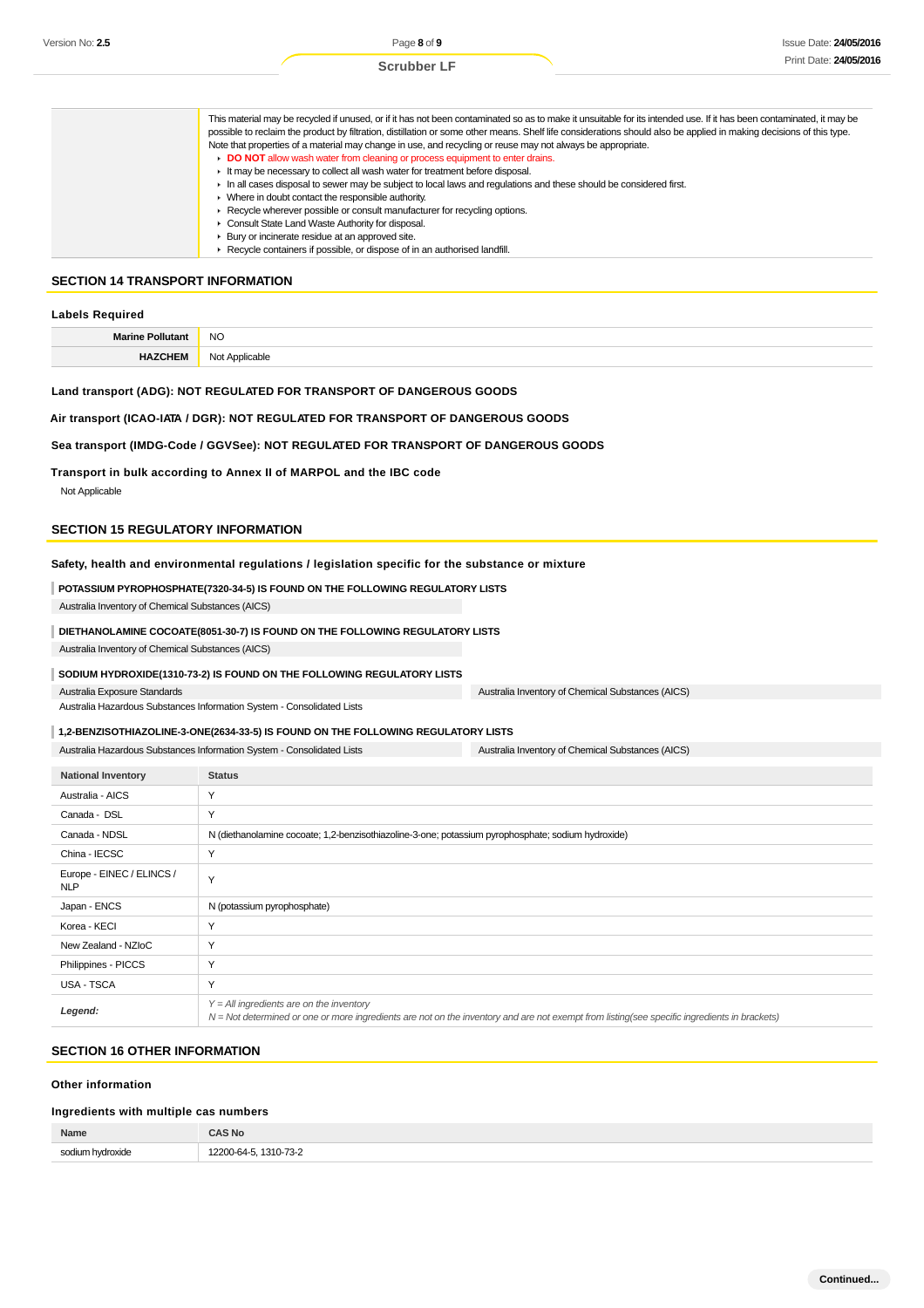| This material may be recycled if unused, or if it has not been contaminated so as to make it unsuitable for its intended use. If it has been contaminated, it may be<br>possible to reclaim the product by filtration, distillation or some other means. Shelf life considerations should also be applied in making decisions of this type. |
|---------------------------------------------------------------------------------------------------------------------------------------------------------------------------------------------------------------------------------------------------------------------------------------------------------------------------------------------|
| Note that properties of a material may change in use, and recycling or reuse may not always be appropriate.                                                                                                                                                                                                                                 |
| DO NOT allow wash water from cleaning or process equipment to enter drains.                                                                                                                                                                                                                                                                 |
| If the may be necessary to collect all wash water for treatment before disposal.                                                                                                                                                                                                                                                            |
| In all cases disposal to sewer may be subject to local laws and regulations and these should be considered first.                                                                                                                                                                                                                           |
| • Where in doubt contact the responsible authority.                                                                                                                                                                                                                                                                                         |
| ► Recycle wherever possible or consult manufacturer for recycling options.                                                                                                                                                                                                                                                                  |
| Consult State Land Waste Authority for disposal.                                                                                                                                                                                                                                                                                            |
| ▶ Bury or incinerate residue at an approved site.                                                                                                                                                                                                                                                                                           |
| ▶ Recycle containers if possible, or dispose of in an authorised landfill.                                                                                                                                                                                                                                                                  |

# **SECTION 14 TRANSPORT INFORMATION**

| Labels Required         |                     |  |
|-------------------------|---------------------|--|
| <b>Marine Pollutant</b> | <b>NO</b>           |  |
| HA.                     | Applicable<br>Not / |  |

#### **Land transport (ADG): NOT REGULATED FOR TRANSPORT OF DANGEROUS GOODS**

#### **Air transport (ICAO-IATA / DGR): NOT REGULATED FOR TRANSPORT OF DANGEROUS GOODS**

#### **Sea transport (IMDG-Code / GGVSee): NOT REGULATED FOR TRANSPORT OF DANGEROUS GOODS**

**Transport in bulk according to Annex II of MARPOL and the IBC code** Not Applicable

#### **SECTION 15 REGULATORY INFORMATION**

#### **Safety, health and environmental regulations / legislation specific for the substance or mixture**

### **POTASSIUM PYROPHOSPHATE(7320-34-5) IS FOUND ON THE FOLLOWING REGULATORY LISTS**

Australia Inventory of Chemical Substances (AICS)

#### **DIETHANOLAMINE COCOATE(8051-30-7) IS FOUND ON THE FOLLOWING REGULATORY LISTS**

Australia Inventory of Chemical Substances (AICS)

#### **SODIUM HYDROXIDE(1310-73-2) IS FOUND ON THE FOLLOWING REGULATORY LISTS**

Australia Exposure Standards

Australia Hazardous Substances Information System - Consolidated Lists

#### **1,2-BENZISOTHIAZOLINE-3-ONE(2634-33-5) IS FOUND ON THE FOLLOWING REGULATORY LISTS**

Australia Hazardous Substances Information System - Consolidated Lists Australia Inventory of Chemical Substances (AICS)

| <b>National Inventory</b>               | <b>Status</b>                                                                                                                                                                                |
|-----------------------------------------|----------------------------------------------------------------------------------------------------------------------------------------------------------------------------------------------|
| Australia - AICS                        | Y                                                                                                                                                                                            |
| Canada - DSL                            | Y                                                                                                                                                                                            |
| Canada - NDSL                           | N (diethanolamine cocoate; 1,2-benzisothiazoline-3-one; potassium pyrophosphate; sodium hydroxide)                                                                                           |
| China - IECSC                           | Y                                                                                                                                                                                            |
| Europe - EINEC / ELINCS /<br><b>NLP</b> | Y                                                                                                                                                                                            |
| Japan - ENCS                            | N (potassium pyrophosphate)                                                                                                                                                                  |
| Korea - KECI                            | Y                                                                                                                                                                                            |
| New Zealand - NZIoC                     | Y                                                                                                                                                                                            |
| Philippines - PICCS                     | Y                                                                                                                                                                                            |
| USA - TSCA                              | Y                                                                                                                                                                                            |
| Legend:                                 | $Y = All$ ingredients are on the inventory<br>$N = Not$ determined or one or more ingredients are not on the inventory and are not exempt from listing(see specific ingredients in brackets) |

Australia Inventory of Chemical Substances (AICS)

### **SECTION 16 OTHER INFORMATION**

#### **Other information**

## **Ingredients with multiple cas numbers**

| Name                 | או כ                                         |
|----------------------|----------------------------------------------|
| <b>SOC</b><br>.<br>. | 0000<br>73.1<br>$1310 - 1$<br>$\cdot$ .<br>. |